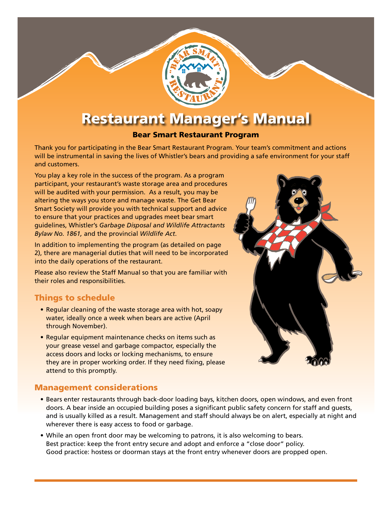# Restaurant Manager's Manual

#### Bear Smart Restaurant Program

Thank you for participating in the Bear Smart Restaurant Program. Your team's commitment and actions will be instrumental in saving the lives of Whistler's bears and providing a safe environment for your staff and customers.

You play a key role in the success of the program. As a program participant, your restaurant's waste storage area and procedures will be audited with your permission. As a result, you may be altering the ways you store and manage waste. The Get Bear Smart Society will provide you with technical support and advice to ensure that your practices and upgrades meet bear smart guidelines, Whistler's *Garbage Disposal and Wildlife Attractants Bylaw No. 1861,* and the provincial *Wildlife Act*.

In addition to implementing the program (as detailed on page 2), there are managerial duties that will need to be incorporated into the daily operations of the restaurant.

Please also review the Staff Manual so that you are familiar with their roles and responsibilities.

#### Things to schedule

- Regular cleaning of the waste storage area with hot, soapy water, ideally once a week when bears are active (April through November).
- Regular equipment maintenance checks on items such as your grease vessel and garbage compactor, especially the access doors and locks or locking mechanisms, to ensure they are in proper working order. If they need fixing, please attend to this promptly.

#### Management considerations

- • Bears enter restaurants through back-door loading bays, kitchen doors, open windows, and even front doors. A bear inside an occupied building poses a significant public safety concern for staff and guests, and is usually killed as a result. Management and staff should always be on alert, especially at night and wherever there is easy access to food or garbage.
- While an open front door may be welcoming to patrons, it is also welcoming to bears. Best practice: keep the front entry secure and adopt and enforce a "close door" policy. Good practice: hostess or doorman stays at the front entry whenever doors are propped open.

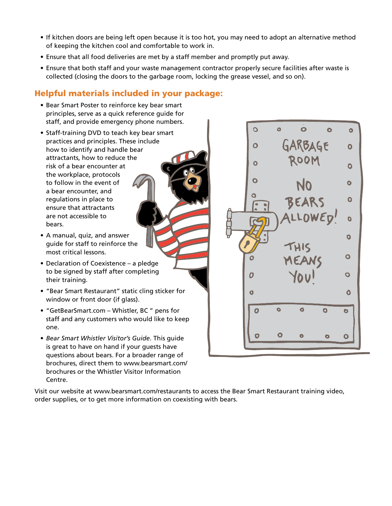- If kitchen doors are being left open because it is too hot, you may need to adopt an alternative method of keeping the kitchen cool and comfortable to work in.
- Ensure that all food deliveries are met by a staff member and promptly put away.
- Ensure that both staff and your waste management contractor properly secure facilities after waste is collected (closing the doors to the garbage room, locking the grease vessel, and so on).

## Helpful materials included in your package:

- Bear Smart Poster to reinforce key bear smart principles, serve as a quick reference guide for staff, and provide emergency phone numbers.
- Staff-training DVD to teach key bear smart practices and principles. These include how to identify and handle bear attractants, how to reduce the risk of a bear encounter at the workplace, protocols to follow in the event of a bear encounter, and regulations in place to ensure that attractants are not accessible to bears.
- • A manual, quiz, and answer guide for staff to reinforce the most critical lessons.
- Declaration of Coexistence a pledge to be signed by staff after completing their training.
- • "Bear Smart Restaurant" static cling sticker for window or front door (if glass).
- • "GetBearSmart.com Whistler, BC " pens for staff and any customers who would like to keep one.
- • *Bear Smart Whistler Visitor's Guide*. This guide is great to have on hand if your guests have questions about bears. For a broader range of brochures, direct them to www.bearsmart.com/ brochures or the Whistler Visitor Information Centre.

 $\overline{O}$  $\bullet$  $\bullet$  $\bullet$  $\bullet$ GARBAGE  $\overline{O}$  $\bullet$ ROOM  $\overline{O}$  $\bullet$  $\mathbf{o}$  $\bullet$ Ó BEARS  $\bullet$ ALLOWED!  $\bullet$  $\bullet$  $\bullet$  $\Omega$ 0  $\bullet$  $\overline{\mathbf{o}}$  $\bullet$  $\bullet$ Ō  $\bullet$  $\overline{O}$  $\bullet$ O Ō  $\bullet$  $\bullet$  $\bullet$ 

Visit our website at www.bearsmart.com/restaurants to access the Bear Smart Restaurant training video, order supplies, or to get more information on coexisting with bears.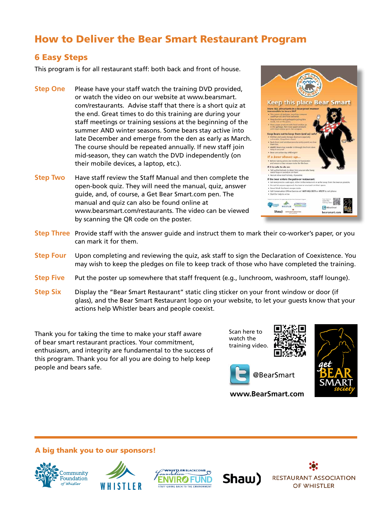# How to Deliver the Bear Smart Restaurant Program

### 6 Easy Steps

This program is for all restaurant staff: both back and front of house.

- **Step One** Please have your staff watch the training DVD provided, or watch the video on our website at www.bearsmart. com/restaurants. Advise staff that there is a short quiz at the end. Great times to do this training are during your staff meetings or training sessions at the beginning of the summer AND winter seasons. Some bears stay active into late December and emerge from the den as early as March. The course should be repeated annually. If new staff join mid-season, they can watch the DVD independently (on their mobile devices, a laptop, etc.).
- **Step Two** Have staff review the Staff Manual and then complete the open-book quiz. They will need the manual, quiz, answer guide, and, of course, a Get Bear Smart.com pen. The manual and quiz can also be found online at www.bearsmart.com/restaurants. The video can be viewed by scanning the QR code on the poster.



- **Step Three** Provide staff with the answer guide and instruct them to mark their co-worker's paper, or you can mark it for them.
- **Step Four** Upon completing and reviewing the quiz, ask staff to sign the Declaration of Coexistence. You may wish to keep the pledges on file to keep track of those who have completed the training.
- **Step Five** Put the poster up somewhere that staff frequent (e.g., lunchroom, washroom, staff lounge).
- **Step Six** Display the "Bear Smart Restaurant" static cling sticker on your front window or door (if glass), and the Bear Smart Restaurant logo on your website, to let your guests know that your actions help Whistler bears and people coexist.

Thank you for taking the time to make your staff aware of bear smart restaurant practices. Your commitment, enthusiasm, and integrity are fundamental to the success of this program. Thank you for all you are doing to help keep people and bears safe.

Scan here to watch the training video.





**www.BearSmart.com**

A big thank you to our sponsors!